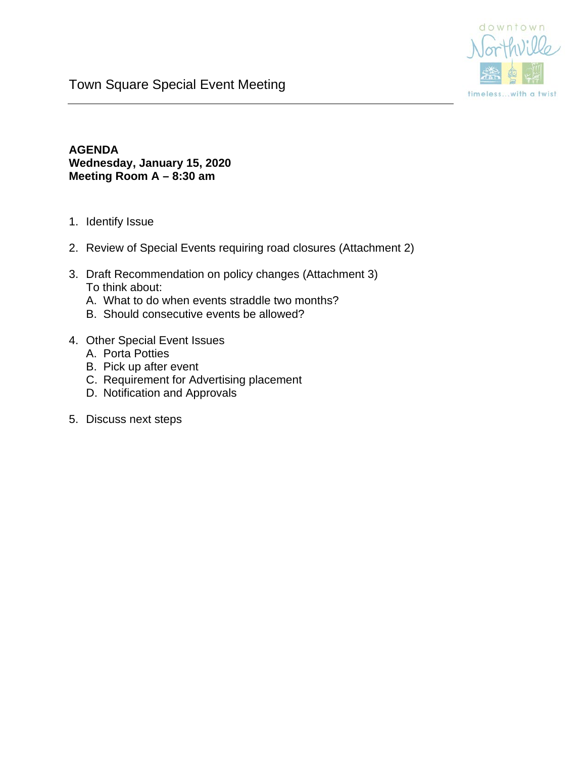

## Town Square Special Event Meeting

## **AGENDA Wednesday, January 15, 2020 Meeting Room A – 8:30 am**

- 1. Identify Issue
- 2. Review of Special Events requiring road closures (Attachment 2)
- 3. Draft Recommendation on policy changes (Attachment 3) To think about:
	- A. What to do when events straddle two months?
	- B. Should consecutive events be allowed?
- 4. Other Special Event Issues
	- A. Porta Potties
	- B. Pick up after event
	- C. Requirement for Advertising placement
	- D. Notification and Approvals
- 5. Discuss next steps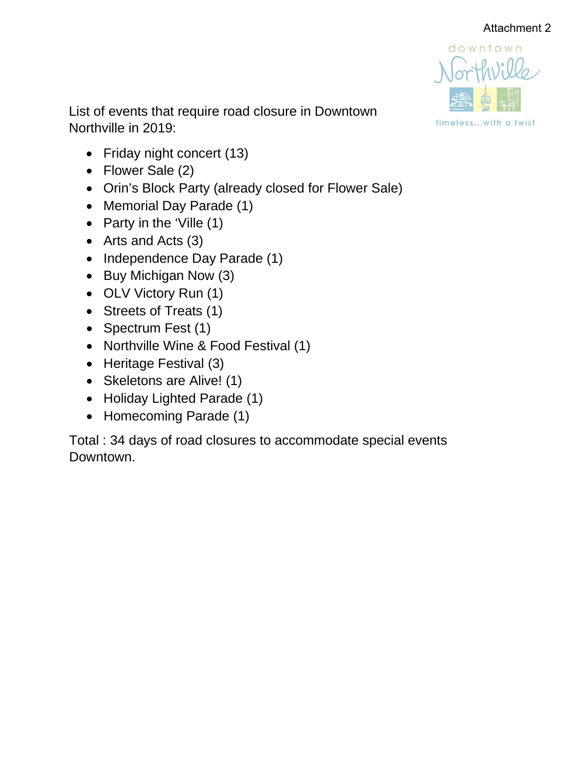

List of events that require road closure in Downtown Northville in 2019:

- Friday night concert (13)
- Flower Sale (2)
- Orin's Block Party (already closed for Flower Sale)
- Memorial Day Parade (1)
- Party in the 'Ville (1)
- Arts and Acts (3)
- Independence Day Parade (1)
- Buy Michigan Now (3)
- OLV Victory Run (1)
- Streets of Treats (1)
- Spectrum Fest (1)
- Northville Wine & Food Festival (1)
- Heritage Festival (3)
- Skeletons are Alive! (1)
- Holiday Lighted Parade (1)
- Homecoming Parade (1)

Total : 34 days of road closures to accommodate special events Downtown.